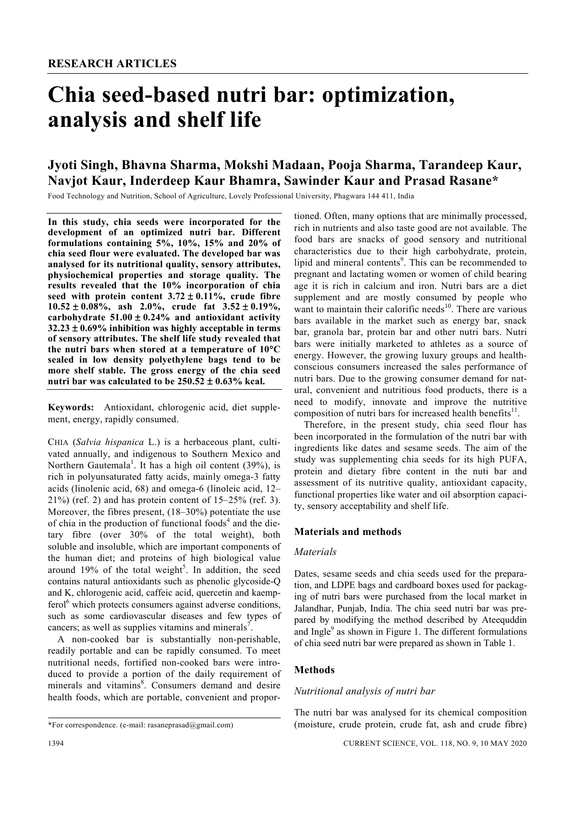# **Chia seed-based nutri bar: optimization, analysis and shelf life**

# **Jyoti Singh, Bhavna Sharma, Mokshi Madaan, Pooja Sharma, Tarandeep Kaur, Navjot Kaur, Inderdeep Kaur Bhamra, Sawinder Kaur and Prasad Rasane\***

Food Technology and Nutrition, School of Agriculture, Lovely Professional University, Phagwara 144 411, India

**In this study, chia seeds were incorporated for the development of an optimized nutri bar. Different formulations containing 5%, 10%, 15% and 20% of chia seed flour were evaluated. The developed bar was analysed for its nutritional quality, sensory attributes, physiochemical properties and storage quality. The results revealed that the 10% incorporation of chia seed with protein content 3.72** ± **0.11%, crude fibre 10.52** ± **0.08%, ash 2.0%, crude fat 3.52** ± **0.19%, carbohydrate 51.00** ± **0.24% and antioxidant activity 32.23** ± **0.69% inhibition was highly acceptable in terms of sensory attributes. The shelf life study revealed that the nutri bars when stored at a temperature of 10**°**C sealed in low density polyethylene bags tend to be more shelf stable. The gross energy of the chia seed nutri bar was calculated to be 250.52** ± **0.63% kcal.** 

**Keywords:** Antioxidant, chlorogenic acid, diet supplement, energy, rapidly consumed.

CHIA (*Salvia hispanica* L.) is a herbaceous plant, cultivated annually, and indigenous to Southern Mexico and Northern Gautemala<sup>1</sup>. It has a high oil content  $(39\%)$ , is rich in polyunsaturated fatty acids, mainly omega-3 fatty acids (linolenic acid, 68) and omega-6 (linoleic acid, 12– 21%) (ref. 2) and has protein content of 15–25% (ref. 3). Moreover, the fibres present, (18–30%) potentiate the use of chia in the production of functional foods<sup>4</sup> and the dietary fibre (over 30% of the total weight), both soluble and insoluble, which are important components of the human diet; and proteins of high biological value around 19% of the total weight<sup>5</sup>. In addition, the seed contains natural antioxidants such as phenolic glycoside-Q and K, chlorogenic acid, caffeic acid, quercetin and kaempferol<sup>6</sup> which protects consumers against adverse conditions, such as some cardiovascular diseases and few types of cancers; as well as supplies vitamins and minerals<sup>7</sup>.

 A non-cooked bar is substantially non-perishable, readily portable and can be rapidly consumed. To meet nutritional needs, fortified non-cooked bars were introduced to provide a portion of the daily requirement of minerals and vitamins<sup>8</sup>. Consumers demand and desire health foods, which are portable, convenient and proportioned. Often, many options that are minimally processed, rich in nutrients and also taste good are not available. The food bars are snacks of good sensory and nutritional characteristics due to their high carbohydrate, protein, lipid and mineral contents<sup>9</sup>. This can be recommended to pregnant and lactating women or women of child bearing age it is rich in calcium and iron. Nutri bars are a diet supplement and are mostly consumed by people who want to maintain their calorific needs<sup>10</sup>. There are various bars available in the market such as energy bar, snack bar, granola bar, protein bar and other nutri bars. Nutri bars were initially marketed to athletes as a source of energy. However, the growing luxury groups and healthconscious consumers increased the sales performance of nutri bars. Due to the growing consumer demand for natural, convenient and nutritious food products, there is a need to modify, innovate and improve the nutritive composition of nutri bars for increased health benefits $^{11}$ .

 Therefore, in the present study, chia seed flour has been incorporated in the formulation of the nutri bar with ingredients like dates and sesame seeds. The aim of the study was supplementing chia seeds for its high PUFA, protein and dietary fibre content in the nuti bar and assessment of its nutritive quality, antioxidant capacity, functional properties like water and oil absorption capacity, sensory acceptability and shelf life.

# **Materials and methods**

#### *Materials*

Dates, sesame seeds and chia seeds used for the preparation, and LDPE bags and cardboard boxes used for packaging of nutri bars were purchased from the local market in Jalandhar, Punjab, India. The chia seed nutri bar was prepared by modifying the method described by Ateequddin and Ingle $9$  as shown in Figure 1. The different formulations of chia seed nutri bar were prepared as shown in Table 1.

# **Methods**

#### *Nutritional analysis of nutri bar*

The nutri bar was analysed for its chemical composition (moisture, crude protein, crude fat, ash and crude fibre)

<sup>\*</sup>For correspondence. (e-mail: rasaneprasad@gmail.com)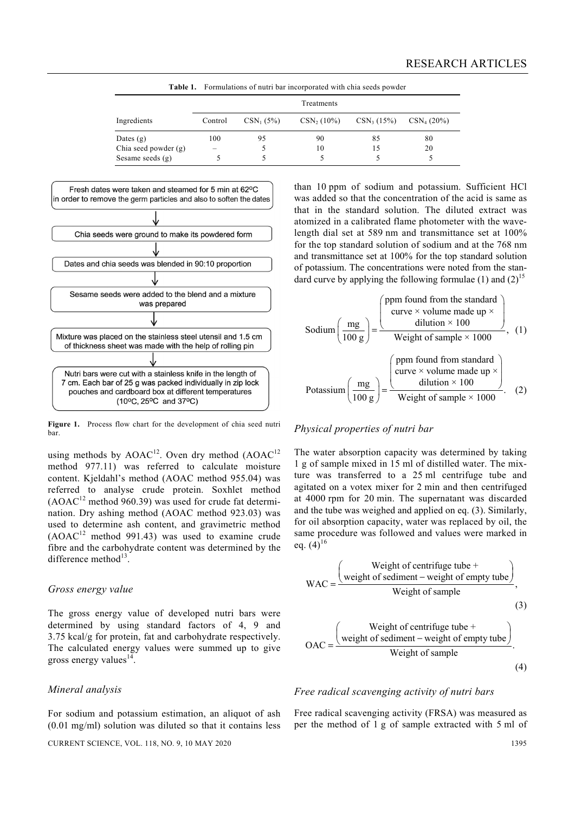|                      |            |             | <b>Table 1.</b> Formulations of nutri bar incorporated with chia seeds powder |              |               |  |  |
|----------------------|------------|-------------|-------------------------------------------------------------------------------|--------------|---------------|--|--|
|                      | Treatments |             |                                                                               |              |               |  |  |
| Ingredients          | Control    | $CSN_1(5%)$ | $CSN_2(10\%)$                                                                 | $CSN_3(15%)$ | $CSN_4(20\%)$ |  |  |
| Dates $(g)$          | 100        | 95          | 90                                                                            | 85           | 80            |  |  |
| Chia seed powder (g) | -          |             | 10                                                                            | 15           | 20            |  |  |
| Sesame seeds $(g)$   |            |             |                                                                               |              |               |  |  |



Figure 1. Process flow chart for the development of chia seed nutri bar.

using methods by  $AOAC^{12}$ . Oven dry method  $(AOAC^{12})$ method 977.11) was referred to calculate moisture content. Kjeldahl's method (AOAC method 955.04) was referred to analyse crude protein. Soxhlet method  $(AOAC<sup>12</sup>$  method 960.39) was used for crude fat determination. Dry ashing method (AOAC method 923.03) was used to determine ash content, and gravimetric method  $(AOAC<sup>12</sup>$  method 991.43) was used to examine crude fibre and the carbohydrate content was determined by the difference method $^{13}$ .

#### *Gross energy value*

The gross energy value of developed nutri bars were determined by using standard factors of 4, 9 and 3.75 kcal/g for protein, fat and carbohydrate respectively. The calculated energy values were summed up to give gross energy values $14$ 

#### *Mineral analysis*

For sodium and potassium estimation, an aliquot of ash (0.01 mg/ml) solution was diluted so that it contains less than 10 ppm of sodium and potassium. Sufficient HCl was added so that the concentration of the acid is same as that in the standard solution. The diluted extract was atomized in a calibrated flame photometer with the wavelength dial set at 589 nm and transmittance set at 100% for the top standard solution of sodium and at the 768 nm and transmittance set at 100% for the top standard solution of potassium. The concentrations were noted from the standard curve by applying the following formulae  $(1)$  and  $(2)^{15}$ 

Sodium 
$$
\left(\frac{mg}{100 \text{ g}}\right) = \frac{\left(\frac{ppm \text{ found from the standard}}{\text{curve } \times \text{ volume made up } \times \text{ dilution} \times 100}\right)}{\text{Weight of sample } \times 1000}, \quad (1)
$$

\nPotassium  $\left(\frac{mg}{100 \text{ g}}\right) = \frac{\left(\frac{ppm \text{ found from standard}}{\text{cutve } \times \text{ volume made up } \times \text{ dilution} \times 1000}\right)}{\text{Weight of sample } \times 1000}.$  (2)

# *Physical properties of nutri bar*

The water absorption capacity was determined by taking 1 g of sample mixed in 15 ml of distilled water. The mixture was transferred to a 25 ml centrifuge tube and agitated on a votex mixer for 2 min and then centrifuged at 4000 rpm for 20 min. The supernatant was discarded and the tube was weighed and applied on eq. (3). Similarly, for oil absorption capacity, water was replaced by oil, the same procedure was followed and values were marked in eq.  $(4)^{16}$ 

WAC =

\n
$$
\frac{\text{Weight of centrifuge tube} + \text{Weight of sample}}{\text{Weight of sample}},
$$
\n(3)

\n
$$
\text{OAC} = \frac{\text{Weight of centrifuge tube} + \text{Weight of sediment-weight of empty tube}}{\text{Weight of segment - weight of empty tube}}.
$$
\n(4)

## *Free radical scavenging activity of nutri bars*

Free radical scavenging activity (FRSA) was measured as per the method of 1 g of sample extracted with 5 ml of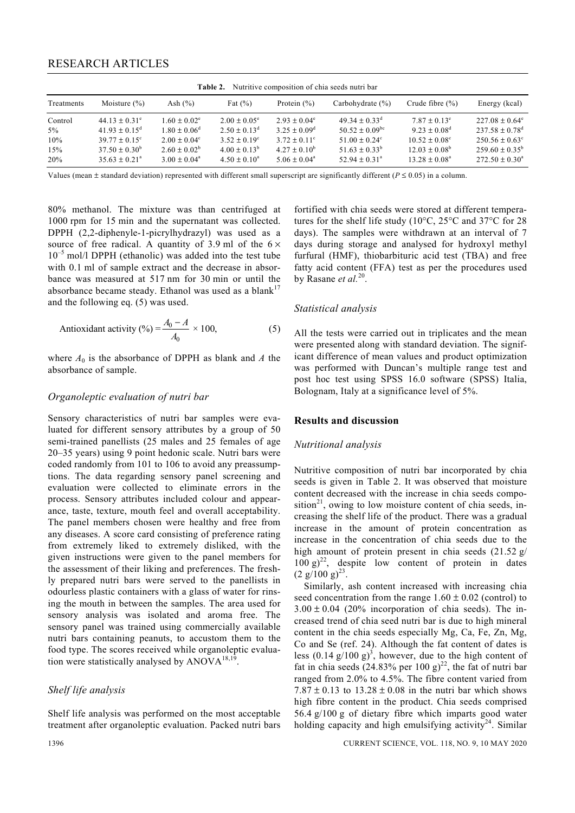| Nutritive composition of chia seeds nutri bar<br>Table 2. |                           |                            |                            |                         |                               |                          |                              |  |
|-----------------------------------------------------------|---------------------------|----------------------------|----------------------------|-------------------------|-------------------------------|--------------------------|------------------------------|--|
| Treatments                                                | Moisture $(\% )$          | Ash $(\% )$                | Fat $(\% )$                | Protein $(\% )$         | Carbohydrate $(\% )$          | Crude fibre $(\% )$      | Energy (kcal)                |  |
| Control                                                   | $44.13 + 0.31^e$          | $1.60 \pm 0.02^e$          | $2.00 + 0.05^e$            | $2.93 + 0.04^e$         | $49.34 + 0.33^d$              | $7.87 \pm 0.13^e$        | $227.08 \pm 0.64^{\circ}$    |  |
| $5\%$                                                     | $41.93 + 0.15^{\text{d}}$ | $1.80 \pm 0.06^{\text{d}}$ | $2.50 \pm 0.13^{\text{d}}$ | $3.25 + 0.09^d$         | $50.52 + 0.09$ <sup>bc</sup>  | $9.23 + 0.08^d$          | $237.58 + 0.78$ <sup>d</sup> |  |
| 10%                                                       | $39.77 + 0.15^{\circ}$    | $2.00 + 0.04^c$            | $3.52 \pm 0.19^{\circ}$    | $3.72 \pm 0.11^{\circ}$ | $51.00 + 0.24^{\circ}$        | $10.52 \pm 0.08^{\circ}$ | $250.56 \pm 0.63^{\circ}$    |  |
| 15%                                                       | $37.50 + 0.30^b$          | $2.60 \pm 0.02^b$          | $4.00 + 0.13^b$            | $4.27 \pm 0.10^b$       | $51.63 + 0.33^b$              | $12.03 \pm 0.08^b$       | $259.60 + 0.35^{\circ}$      |  |
| 20%                                                       | $35.63 + 0.21^a$          | $3.00 + 0.04^a$            | $4.50 \pm 0.10^a$          | $5.06 \pm 0.04^{\circ}$ | $52.94 \pm 0.31$ <sup>a</sup> | $13.28 \pm 0.08^{\circ}$ | $272.50 + 0.30^a$            |  |

Values (mean  $\pm$  standard deviation) represented with different small superscript are significantly different ( $P \le 0.05$ ) in a column.

80% methanol. The mixture was than centrifuged at 1000 rpm for 15 min and the supernatant was collected. DPPH (2,2-diphenyle-1-picrylhydrazyl) was used as a source of free radical. A quantity of 3.9 ml of the  $6 \times$  $10^{-5}$  mol/l DPPH (ethanolic) was added into the test tube with 0.1 ml of sample extract and the decrease in absorbance was measured at 517 nm for 30 min or until the absorbance became steady. Ethanol was used as a blank<sup>17</sup> and the following eq. (5) was used.

Antioxidant activity (%) = 
$$
\frac{A_0 - A}{A_0} \times 100
$$
, (5)

where  $A_0$  is the absorbance of DPPH as blank and  $A$  the absorbance of sample.

#### *Organoleptic evaluation of nutri bar*

Sensory characteristics of nutri bar samples were evaluated for different sensory attributes by a group of 50 semi-trained panellists (25 males and 25 females of age 20–35 years) using 9 point hedonic scale. Nutri bars were coded randomly from 101 to 106 to avoid any preassumptions. The data regarding sensory panel screening and evaluation were collected to eliminate errors in the process. Sensory attributes included colour and appearance, taste, texture, mouth feel and overall acceptability. The panel members chosen were healthy and free from any diseases. A score card consisting of preference rating from extremely liked to extremely disliked, with the given instructions were given to the panel members for the assessment of their liking and preferences. The freshly prepared nutri bars were served to the panellists in odourless plastic containers with a glass of water for rinsing the mouth in between the samples. The area used for sensory analysis was isolated and aroma free. The sensory panel was trained using commercially available nutri bars containing peanuts, to accustom them to the food type. The scores received while organoleptic evaluation were statistically analysed by  $ANOVA^{18,19}$ .

### *Shelf life analysis*

Shelf life analysis was performed on the most acceptable treatment after organoleptic evaluation. Packed nutri bars

fortified with chia seeds were stored at different temperatures for the shelf life study (10°C, 25°C and 37°C for 28 days). The samples were withdrawn at an interval of 7 days during storage and analysed for hydroxyl methyl furfural (HMF), thiobarbituric acid test (TBA) and free fatty acid content (FFA) test as per the procedures used by Rasane *et al.*20.

#### *Statistical analysis*

All the tests were carried out in triplicates and the mean were presented along with standard deviation. The significant difference of mean values and product optimization was performed with Duncan's multiple range test and post hoc test using SPSS 16.0 software (SPSS) Italia, Bolognam, Italy at a significance level of 5%.

#### **Results and discussion**

#### *Nutritional analysis*

Nutritive composition of nutri bar incorporated by chia seeds is given in Table 2. It was observed that moisture content decreased with the increase in chia seeds composition<sup>21</sup>, owing to low moisture content of chia seeds, increasing the shelf life of the product. There was a gradual increase in the amount of protein concentration as increase in the concentration of chia seeds due to the high amount of protein present in chia seeds (21.52 g/  $100 \text{ g})^{22}$ , despite low content of protein in dates  $(2 \text{ g}/100 \text{ g})^{23}$ .

 Similarly, ash content increased with increasing chia seed concentration from the range  $1.60 \pm 0.02$  (control) to  $3.00 \pm 0.04$  (20% incorporation of chia seeds). The increased trend of chia seed nutri bar is due to high mineral content in the chia seeds especially Mg, Ca, Fe, Zn, Mg, Co and Se (ref. 24). Although the fat content of dates is less  $(0.14 \text{ g}/100 \text{ g})^3$ , however, due to the high content of fat in chia seeds  $(24.83\%$  per 100 g)<sup>22</sup>, the fat of nutri bar ranged from 2.0% to 4.5%. The fibre content varied from  $7.87 \pm 0.13$  to  $13.28 \pm 0.08$  in the nutri bar which shows high fibre content in the product. Chia seeds comprised 56.4 g/100 g of dietary fibre which imparts good water holding capacity and high emulsifying activity<sup>24</sup>. Similar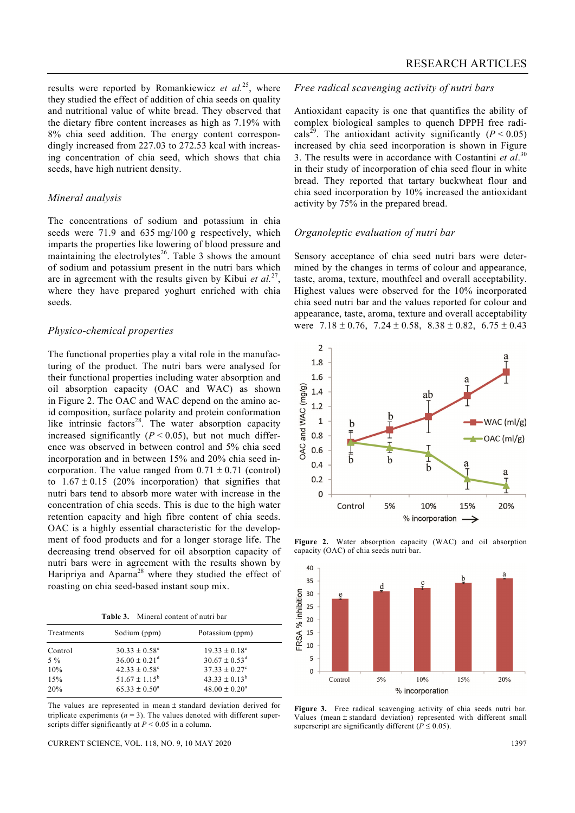results were reported by Romankiewicz *et al.*25, where they studied the effect of addition of chia seeds on quality and nutritional value of white bread. They observed that the dietary fibre content increases as high as 7.19% with 8% chia seed addition. The energy content correspondingly increased from 227.03 to 272.53 kcal with increasing concentration of chia seed, which shows that chia seeds, have high nutrient density.

#### *Mineral analysis*

The concentrations of sodium and potassium in chia seeds were 71.9 and 635 mg/100 g respectively, which imparts the properties like lowering of blood pressure and maintaining the electrolytes $^{26}$ . Table 3 shows the amount of sodium and potassium present in the nutri bars which are in agreement with the results given by Kibui *et al.*27, where they have prepared yoghurt enriched with chia seeds.

#### *Physico-chemical properties*

The functional properties play a vital role in the manufacturing of the product. The nutri bars were analysed for their functional properties including water absorption and oil absorption capacity (OAC and WAC) as shown in Figure 2. The OAC and WAC depend on the amino acid composition, surface polarity and protein conformation like intrinsic factors $28$ . The water absorption capacity increased significantly  $(P < 0.05)$ , but not much difference was observed in between control and 5% chia seed incorporation and in between 15% and 20% chia seed incorporation. The value ranged from  $0.71 \pm 0.71$  (control) to  $1.67 \pm 0.15$  (20% incorporation) that signifies that nutri bars tend to absorb more water with increase in the concentration of chia seeds. This is due to the high water retention capacity and high fibre content of chia seeds. OAC is a highly essential characteristic for the development of food products and for a longer storage life. The decreasing trend observed for oil absorption capacity of nutri bars were in agreement with the results shown by Haripriya and Aparna<sup>28</sup> where they studied the effect of roasting on chia seed-based instant soup mix.

**Table 3.** Mineral content of nutri bar

| Treatments | Sodium (ppm)                  | Potassium (ppm)             |
|------------|-------------------------------|-----------------------------|
| Control    | $30.33 \pm 0.58^{\circ}$      | $19.33 \pm 0.18^{\circ}$    |
| $5\%$      | $36.00 \pm 0.21$ <sup>d</sup> | $30.67 \pm 0.53^{\text{d}}$ |
| 10%        | $42.33 \pm 0.58$ <sup>c</sup> | $37.33 \pm 0.27^{\circ}$    |
| 15%        | $51.67 \pm 1.15^b$            | $43.33 \pm 0.13^b$          |
| 20%        | $65.33 \pm 0.50^a$            | $48.00 \pm 0.20^a$          |

The values are represented in mean + standard deviation derived for triplicate experiments  $(n = 3)$ . The values denoted with different superscripts differ significantly at *P* < 0.05 in a column.

#### *Free radical scavenging activity of nutri bars*

Antioxidant capacity is one that quantifies the ability of complex biological samples to quench DPPH free radicals<sup>29</sup>. The antioxidant activity significantly ( $P < 0.05$ ) increased by chia seed incorporation is shown in Figure 3. The results were in accordance with Costantini *et al*. 30 in their study of incorporation of chia seed flour in white bread. They reported that tartary buckwheat flour and chia seed incorporation by 10% increased the antioxidant activity by 75% in the prepared bread.

#### *Organoleptic evaluation of nutri bar*

Sensory acceptance of chia seed nutri bars were determined by the changes in terms of colour and appearance, taste, aroma, texture, mouthfeel and overall acceptability. Highest values were observed for the 10% incorporated chia seed nutri bar and the values reported for colour and appearance, taste, aroma, texture and overall acceptability were  $7.18 \pm 0.76$ ,  $7.24 \pm 0.58$ ,  $8.38 \pm 0.82$ ,  $6.75 \pm 0.43$ 



**Figure 2.** Water absorption capacity (WAC) and oil absorption capacity (OAC) of chia seeds nutri bar.



**Figure 3.** Free radical scavenging activity of chia seeds nutri bar. Values (mean ± standard deviation) represented with different small superscript are significantly different ( $P \le 0.05$ ).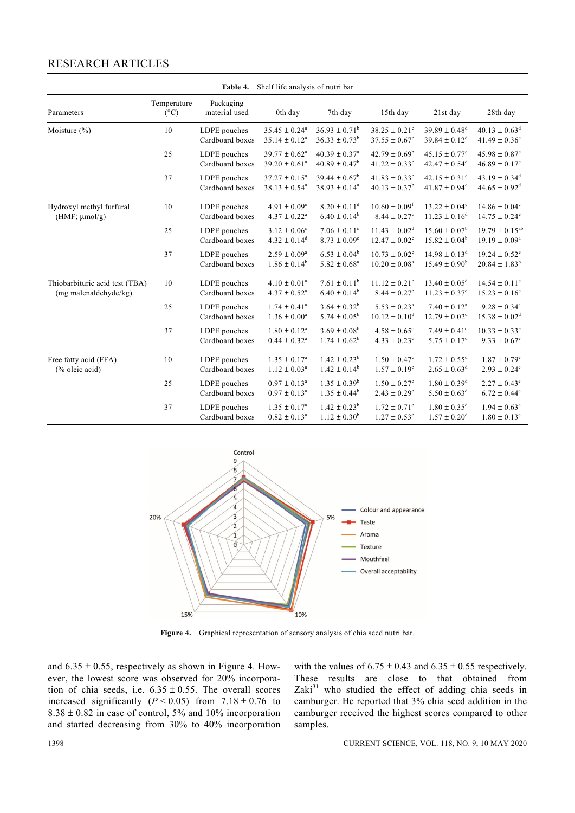# RESEARCH ARTICLES

| Shelf life analysis of nutri bar<br>Table 4.            |                              |                                 |                                                   |                                                     |                                                               |                                                                |                                                                |
|---------------------------------------------------------|------------------------------|---------------------------------|---------------------------------------------------|-----------------------------------------------------|---------------------------------------------------------------|----------------------------------------------------------------|----------------------------------------------------------------|
| Parameters                                              | Temperature<br>$(^{\circ}C)$ | Packaging<br>material used      | 0th day                                           | 7th day                                             | 15th day                                                      | 21st day                                                       | 28th day                                                       |
| Moisture $(\% )$                                        | 10                           | LDPE pouches<br>Cardboard boxes | $35.45 \pm 0.24^a$<br>$35.14 \pm 0.12^a$          | $36.93 \pm 0.71^b$<br>$36.33 \pm 0.73^b$            | $38.25 \pm 0.21$ <sup>c</sup><br>$37.55 \pm 0.67^c$           | $39.89\pm0.48^{\rm d}$<br>$39.84 \pm 0.12^d$                   | $40.13 \pm 0.63^{\text{d}}$<br>$41.49 \pm 0.36^e$              |
|                                                         | 25                           | LDPE pouches<br>Cardboard boxes | $39.77 \pm 0.62^{\text{a}}$<br>$39.20 \pm 0.61^a$ | $40.39 \pm 0.37$ <sup>a</sup><br>$40.89 \pm 0.47^b$ | $42.79 \pm 0.69^{\rm b}$<br>$41.22 \pm 0.33$ <sup>c</sup>     | $45.15 \pm 0.77$ <sup>c</sup><br>$42.47 \pm 0.54$ <sup>d</sup> | $45.98 \pm 0.87$ <sup>e</sup><br>$46.89 \pm 0.17$ <sup>c</sup> |
|                                                         | 37                           | LDPE pouches<br>Cardboard boxes | $37.27 \pm 0.15^a$<br>$38.13 \pm 0.54^a$          | $39.44 \pm 0.67^b$<br>$38.93 \pm 0.14^a$            | $41.83 \pm 0.33$ <sup>c</sup><br>$40.13 \pm 0.37^b$           | $42.15 \pm 0.31$ <sup>c</sup><br>$41.87 \pm 0.94$ <sup>c</sup> | $43.19 \pm 0.34$ <sup>d</sup><br>$44.65 \pm 0.92$ <sup>d</sup> |
| Hydroxyl methyl furfural<br>$(HMF; \mu mol/g)$          | 10                           | LDPE pouches<br>Cardboard boxes | $4.91 \pm 0.09^e$<br>$4.37 \pm 0.22^a$            | $8.20 \pm 0.11^d$<br>$6.40 \pm 0.14^b$              | $10.60 \pm 0.09$ <sup>f</sup><br>$8.44 \pm 0.27$ <sup>c</sup> | $13.22 \pm 0.04^c$<br>$11.23 \pm 0.16^d$                       | $14.86 \pm 0.04$ <sup>c</sup><br>$14.75 \pm 0.24^e$            |
|                                                         | 25                           | LDPE pouches<br>Cardboard boxes | $3.12 \pm 0.06^{\circ}$<br>$4.32 \pm 0.14^d$      | $7.06 \pm 0.11$ <sup>c</sup><br>$8.73 \pm 0.09^e$   | $11.43 \pm 0.02^d$<br>$12.47 \pm 0.02^e$                      | $15.60 \pm 0.07^b$<br>$15.82 \pm 0.04^b$                       | $19.79 \pm 0.15^{ab}$<br>$19.19 \pm 0.09^a$                    |
|                                                         | 37                           | LDPE pouches<br>Cardboard boxes | $2.59 \pm 0.09^a$<br>$1.86 \pm 0.14^b$            | $6.53 \pm 0.04^b$<br>$5.82 \pm 0.68^a$              | $10.73 \pm 0.02^c$<br>$10.20 \pm 0.08^a$                      | $14.98 \pm 0.13$ <sup>d</sup><br>$15.49 \pm 0.90^{\rm b}$      | $19.24 \pm 0.52$ <sup>e</sup><br>$20.84 \pm 1.83^b$            |
| Thiobarbituric acid test (TBA)<br>(mg malenaldehyde/kg) | 10                           | LDPE pouches<br>Cardboard boxes | $4.10 \pm 0.01^a$<br>$4.37 \pm 0.52^a$            | $7.61 \pm 0.11^b$<br>$6.40 \pm 0.14^b$              | $11.12 \pm 0.21$ <sup>c</sup><br>$8.44 \pm 0.27$ <sup>c</sup> | $13.40 \pm 0.05^d$<br>$11.23 \pm 0.37$ <sup>d</sup>            | $14.54 \pm 0.11^e$<br>$15.23 \pm 0.16^e$                       |
|                                                         | 25                           | LDPE pouches<br>Cardboard boxes | $1.74 \pm 0.41^{\circ}$<br>$1.36 \pm 0.00^a$      | $3.64 \pm 0.32^b$<br>5.74 $\pm$ 0.05 <sup>b</sup>   | $5.53 \pm 0.23^{\text{a}}$<br>$10.12 \pm 0.10^d$              | $7.40 \pm 0.12^a$<br>$12.79 \pm 0.02^d$                        | $9.28 \pm 0.34^a$<br>$15.38 \pm 0.02^d$                        |
|                                                         | 37                           | LDPE pouches<br>Cardboard boxes | $1.80 \pm 0.12^{\text{a}}$<br>$0.44 \pm 0.32^a$   | $3.69 \pm 0.08^b$<br>$1.74 \pm 0.62^b$              | $4.58 \pm 0.65$ <sup>c</sup><br>$4.33 \pm 0.23^c$             | $7.49 \pm 0.41$ <sup>d</sup><br>$5.75 \pm 0.17^d$              | $10.33 \pm 0.33^e$<br>$9.33 \pm 0.67^e$                        |
| Free fatty acid (FFA)<br>$%$ oleic acid)                | 10                           | LDPE pouches<br>Cardboard boxes | $1.35 \pm 0.17^{\circ}$<br>$1.12 \pm 0.03^a$      | $1.42 \pm 0.23^b$<br>$1.42\pm0.14^{\rm b}$          | $1.50 \pm 0.47^{\circ}$<br>$1.57 \pm 0.19^c$                  | $1.72 \pm 0.55^{\text{d}}$<br>$2.65 \pm 0.63^d$                | $1.87 \pm 0.79^e$<br>$2.93 \pm 0.24^e$                         |
|                                                         | 25                           | LDPE pouches<br>Cardboard boxes | $0.97 \pm 0.13^a$<br>$0.97 \pm 0.13^a$            | $1.35 \pm 0.39^b$<br>$1.35 \pm 0.44^b$              | $1.50 \pm 0.27^c$<br>$2.43 \pm 0.29^{\circ}$                  | $1.80 \pm 0.39$ <sup>d</sup><br>$5.50 \pm 0.63^d$              | $2.27 \pm 0.43^e$<br>$6.72 \pm 0.44$ <sup>e</sup>              |
|                                                         | 37                           | LDPE pouches<br>Cardboard boxes | $1.35 \pm 0.17^{\rm a}$<br>$0.82 \pm 0.13^a$      | $1.42 \pm 0.23^b$<br>$1.12 \pm 0.30^b$              | $1.72 \pm 0.71$ <sup>c</sup><br>$1.27 \pm 0.53^{\circ}$       | $1.80 \pm 0.35$ <sup>d</sup><br>$1.57 \pm 0.20^{\rm d}$        | $1.94 \pm 0.63^{\circ}$<br>$1.80 \pm 0.13^e$                   |



**Figure 4.** Graphical representation of sensory analysis of chia seed nutri bar.

and  $6.35 \pm 0.55$ , respectively as shown in Figure 4. However, the lowest score was observed for 20% incorporation of chia seeds, i.e.  $6.35 \pm 0.55$ . The overall scores increased significantly  $(P < 0.05)$  from  $7.18 \pm 0.76$  to  $8.38 \pm 0.82$  in case of control, 5% and 10% incorporation and started decreasing from 30% to 40% incorporation with the values of  $6.75 \pm 0.43$  and  $6.35 \pm 0.55$  respectively. These results are close to that obtained from Zaki $31$  who studied the effect of adding chia seeds in camburger. He reported that 3% chia seed addition in the camburger received the highest scores compared to other samples.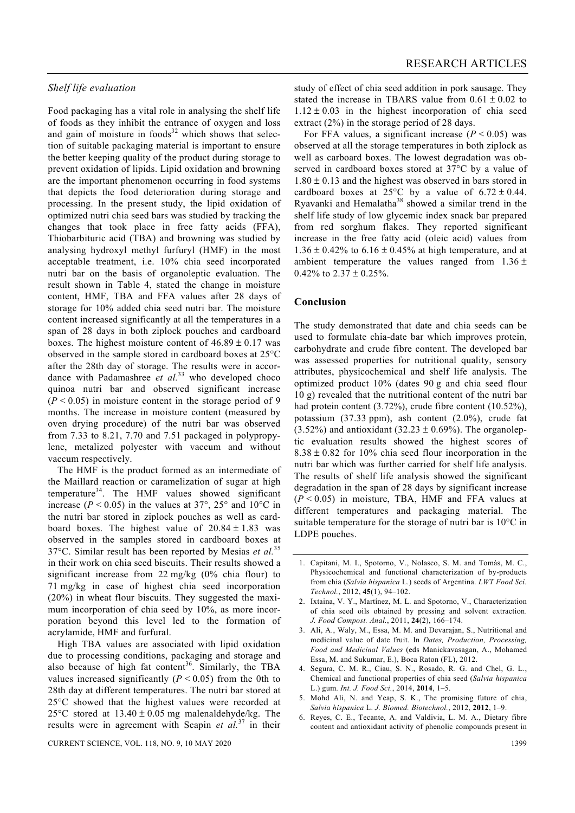#### *Shelf life evaluation*

Food packaging has a vital role in analysing the shelf life of foods as they inhibit the entrance of oxygen and loss and gain of moisture in foods $32$  which shows that selection of suitable packaging material is important to ensure the better keeping quality of the product during storage to prevent oxidation of lipids. Lipid oxidation and browning are the important phenomenon occurring in food systems that depicts the food deterioration during storage and processing. In the present study, the lipid oxidation of optimized nutri chia seed bars was studied by tracking the changes that took place in free fatty acids (FFA), Thiobarbituric acid (TBA) and browning was studied by analysing hydroxyl methyl furfuryl (HMF) in the most acceptable treatment, i.e. 10% chia seed incorporated nutri bar on the basis of organoleptic evaluation. The result shown in Table 4, stated the change in moisture content, HMF, TBA and FFA values after 28 days of storage for 10% added chia seed nutri bar. The moisture content increased significantly at all the temperatures in a span of 28 days in both ziplock pouches and cardboard boxes. The highest moisture content of  $46.89 \pm 0.17$  was observed in the sample stored in cardboard boxes at 25°C after the 28th day of storage. The results were in accordance with Padamashree *et al.*<sup>33</sup> who developed choco quinoa nutri bar and observed significant increase  $(P < 0.05)$  in moisture content in the storage period of 9 months. The increase in moisture content (measured by oven drying procedure) of the nutri bar was observed from 7.33 to 8.21, 7.70 and 7.51 packaged in polypropylene, metalized polyester with vaccum and without vaccum respectively.

 The HMF is the product formed as an intermediate of the Maillard reaction or caramelization of sugar at high temperature<sup>34</sup>. The HMF values showed significant increase ( $P < 0.05$ ) in the values at 37°, 25° and 10°C in the nutri bar stored in ziplock pouches as well as cardboard boxes. The highest value of  $20.84 \pm 1.83$  was observed in the samples stored in cardboard boxes at 37°C. Similar result has been reported by Mesias *et al.*<sup>35</sup> in their work on chia seed biscuits. Their results showed a significant increase from 22 mg/kg (0% chia flour) to 71 mg/kg in case of highest chia seed incorporation (20%) in wheat flour biscuits. They suggested the maximum incorporation of chia seed by 10%, as more incorporation beyond this level led to the formation of acrylamide, HMF and furfural.

 High TBA values are associated with lipid oxidation due to processing conditions, packaging and storage and also because of high fat content<sup>36</sup>. Similarly, the TBA values increased significantly  $(P < 0.05)$  from the 0th to 28th day at different temperatures. The nutri bar stored at 25°C showed that the highest values were recorded at 25 $\degree$ C stored at 13.40  $\pm$  0.05 mg malenaldehyde/kg. The results were in agreement with Scapin *et al.*37 in their study of effect of chia seed addition in pork sausage. They stated the increase in TBARS value from  $0.61 \pm 0.02$  to  $1.12 \pm 0.03$  in the highest incorporation of chia seed extract (2%) in the storage period of 28 days.

For FFA values, a significant increase  $(P < 0.05)$  was observed at all the storage temperatures in both ziplock as well as carboard boxes. The lowest degradation was observed in cardboard boxes stored at 37°C by a value of  $1.80 \pm 0.13$  and the highest was observed in bars stored in cardboard boxes at 25 $\degree$ C by a value of 6.72  $\pm$  0.44. Ryavanki and Hemalatha<sup>38</sup> showed a similar trend in the shelf life study of low glycemic index snack bar prepared from red sorghum flakes. They reported significant increase in the free fatty acid (oleic acid) values from  $1.36 \pm 0.42\%$  to  $6.16 \pm 0.45\%$  at high temperature, and at ambient temperature the values ranged from  $1.36 \pm$ 0.42% to  $2.37 \pm 0.25$ %.

#### **Conclusion**

The study demonstrated that date and chia seeds can be used to formulate chia-date bar which improves protein, carbohydrate and crude fibre content. The developed bar was assessed properties for nutritional quality, sensory attributes, physicochemical and shelf life analysis. The optimized product 10% (dates 90 g and chia seed flour 10 g) revealed that the nutritional content of the nutri bar had protein content (3.72%), crude fibre content (10.52%), potassium (37.33 ppm), ash content (2.0%), crude fat  $(3.52\%)$  and antioxidant  $(32.23 \pm 0.69\%)$ . The organoleptic evaluation results showed the highest scores of  $8.38 \pm 0.82$  for 10% chia seed flour incorporation in the nutri bar which was further carried for shelf life analysis. The results of shelf life analysis showed the significant degradation in the span of 28 days by significant increase  $(P < 0.05)$  in moisture, TBA, HMF and FFA values at different temperatures and packaging material. The suitable temperature for the storage of nutri bar is 10°C in LDPE pouches.

- 3. Ali, A., Waly, M., Essa, M. M. and Devarajan, S., Nutritional and medicinal value of date fruit. In *Dates, Production, Processing, Food and Medicinal Values* (eds Manickavasagan, A., Mohamed Essa, M. and Sukumar, E.), Boca Raton (FL), 2012.
- 4. Segura, C. M. R., Ciau, S. N., Rosado, R. G. and Chel, G. L., Chemical and functional properties of chia seed (*Salvia hispanica* L.) gum. *Int. J. Food Sci.*, 2014, **2014**, 1–5.
- 5. Mohd Ali, N. and Yeap, S. K., The promising future of chia, *Salvia hispanica* L. *J. Biomed. Biotechnol.*, 2012, **2012**, 1–9.
- 6. Reyes, C. E., Tecante, A. and Valdivia, L. M. A., Dietary fibre content and antioxidant activity of phenolic compounds present in

<sup>1.</sup> Capitani, M. I., Spotorno, V., Nolasco, S. M. and Tomás, M. C., Physicochemical and functional characterization of by-products from chia (*Salvia hispanica* L.) seeds of Argentina. *LWT Food Sci. Technol.*, 2012, **45**(1), 94–102.

<sup>2.</sup> Ixtaina, V. Y., Martínez, M. L. and Spotorno, V., Characterization of chia seed oils obtained by pressing and solvent extraction. *J. Food Compost. Anal.*, 2011, **24**(2), 166–174.